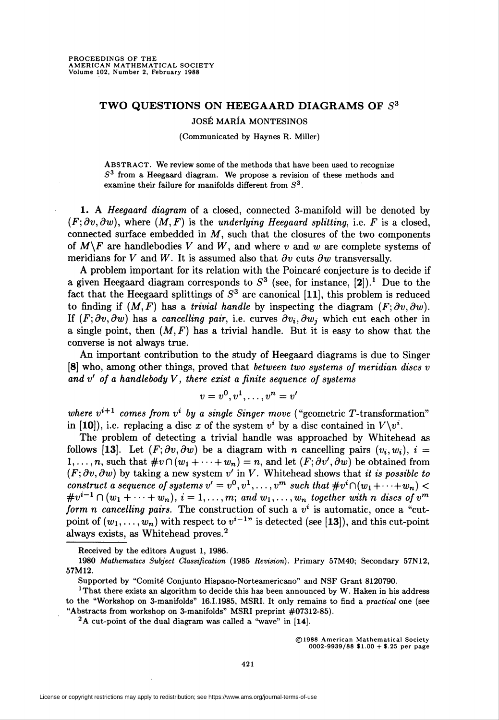## TWO QUESTIONS ON HEEGAARD DIAGRAMS OF  $S<sup>3</sup>$

JOSÉ MARÍA MONTESINOS

(Communicated by Haynes R. Miller)

ABSTRACT. We review some of the methods that have been used to recognize  $S<sup>3</sup>$  from a Heegaard diagram. We propose a revision of these methods and examine their failure for manifolds different from  $S<sup>3</sup>$ .

1. A Heegaard diagram of a closed, connected 3-manifold will be denoted by  $(F; \partial v, \partial w)$ , where  $(M, F)$  is the underlying Heegaard splitting, i.e. F is a closed, connected surface embedded in  $M$ , such that the closures of the two components of  $M\backslash F$  are handlebodies V and W, and where v and w are complete systems of meridians for V and W. It is assumed also that  $\partial v$  cuts  $\partial w$  transversally.

A problem important for its relation with the Poincaré conjecture is to decide if a given Heegaard diagram corresponds to  $S<sup>3</sup>$  (see, for instance, [2]).<sup>1</sup> Due to the fact that the Heegaard splittings of  $S<sup>3</sup>$  are canonical [11], this problem is reduced to finding if  $(M, F)$  has a *trivial handle* by inspecting the diagram  $(F, \partial v, \partial w)$ . If  $(F; \partial v, \partial w)$  has a cancelling pair, i.e. curves  $\partial v_i, \partial w_j$  which cut each other in a single point, then  $(M, F)$  has a trivial handle. But it is easy to show that the converse is not always true.

An important contribution to the study of Heegaard diagrams is due to Singer [8] who, among other things, proved that between two systems of meridian discs v and  $v'$  of a handlebody  $V$ , there exist a finite sequence of systems

$$
v=v^0,v^1,\ldots,v^n=v'
$$

where  $v^{i+1}$  comes from  $v^i$  by a single Singer move ("geometric T-transformation" in [10]), i.e. replacing a disc x of the system  $v^i$  by a disc contained in  $V\backslash v^i$ .

The problem of detecting a trivial handle was approached by Whitehead as follows [13]. Let  $(F; \partial v, \partial w)$  be a diagram with n cancelling pairs  $(v_i, w_i)$ ,  $i =$ 1,...,n, such that  $\#v \cap (w_1 + \cdots + w_n) = n$ , and let  $(F; \partial v', \partial w)$  be obtained from  $(F; \partial v, \partial w)$  by taking a new system v' in V. Whitehead shows that it is possible to construct a sequence of systems  $v' = v^0, v^1, \ldots, v^m$  such that  $\#v^i\cap(w_1 + \cdots + w_n)$  $\#v^{i-1}\cap (w_1+\cdots+w_n), i=1,\ldots,m;$  and  $w_1,\ldots,w_n$  together with n discs of  $v^m$ form n cancelling pairs. The construction of such a  $v^i$  is automatic, once a "cutpoint of  $(w_1,\ldots,w_n)$  with respect to  $v^{i-1}$ " is detected (see [13]), and this cut-point always exists, as Whitehead proves.2

 $2A$  cut-point of the dual diagram was called a "wave" in [14].

©1988 American Mathematical Society 0002-9939/88 \$1.00 + \$.25 per page

Received by the editors August 1, 1986.

<sup>1980</sup> Mathematics Subject Classification (1985 Revision). Primary 57M40; Secondary 57N12, 57M12.

Supported by "Comité Conjunto Hispano-Norteamericano" and NSF Grant 8120790.

<sup>&</sup>lt;sup>1</sup>That there exists an algorithm to decide this has been announced by W. Haken in his address to the "Workshop on 3-manifolds" 16.1.1985, MSRI. It only remains to find a practical one (see "Abstracts from workshop on 3-manifolds" MSRI preprint #07312-85).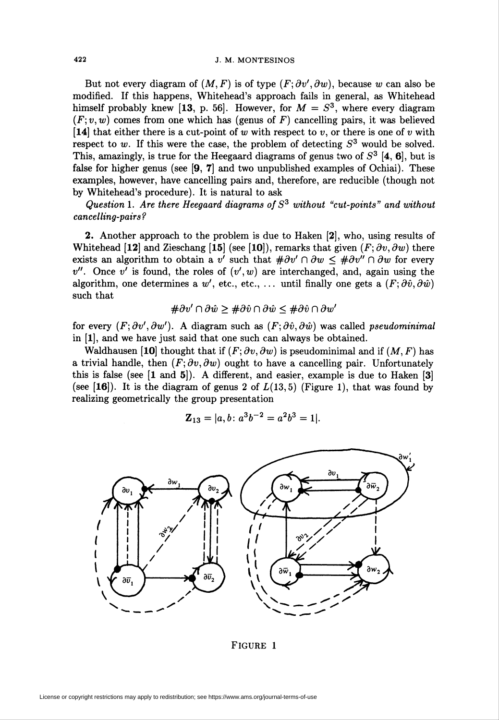But not every diagram of  $(M, F)$  is of type  $(F, \partial v', \partial w)$ , because w can also be modified. If this happens, Whitehead's approach fails in general, as Whitehead himself probably knew [13, p. 56]. However, for  $M = S<sup>3</sup>$ , where every diagram  $(F; v, w)$  comes from one which has (genus of F) cancelling pairs, it was believed [14] that either there is a cut-point of w with respect to v, or there is one of v with respect to w. If this were the case, the problem of detecting  $S<sup>3</sup>$  would be solved. This, amazingly, is true for the Heegaard diagrams of genus two of  $S<sup>3</sup>$  [4, 6], but is false for higher genus (see [9, 7] and two unpublished examples of Ochiai). These examples, however, have cancelling pairs and, therefore, are reducible (though not by Whitehead's procedure). It is natural to ask

Question 1. Are there Heegaard diagrams of  $S<sup>3</sup>$  without "cut-points" and without cancelling-pairs?

2. Another approach to the problem is due to Haken [2], who, using results of Whitehead [12] and Zieschang [15] (see [10]), remarks that given  $(F; \partial v, \partial w)$  there exists an algorithm to obtain a v' such that  $\#\partial v' \cap \partial w \leq \#\partial v'' \cap \partial w$  for every  $v''$ . Once v' is found, the roles of  $(v', w)$  are interchanged, and, again using the algorithm, one determines a w', etc., etc., ... until finally one gets a  $(F; \partial \hat{v}, \partial \hat{w})$ such that

$$
\#\partial v' \cap \partial \hat{w} \geq \#\partial \hat{v} \cap \partial \hat{w} \leq \#\partial \hat{v} \cap \partial w'
$$

for every  $(F; \partial v', \partial w')$ . A diagram such as  $(F; \partial \hat{v}, \partial \hat{w})$  was called *pseudominimal* in [1], and we have just said that one such can always be obtained.

Waldhausen [10] thought that if  $(F; \partial v, \partial w)$  is pseudominimal and if  $(M, F)$  has a trivial handle, then  $(F; \partial v, \partial w)$  ought to have a cancelling pair. Unfortunately this is false (see  $[1 \text{ and } 5]$ ). A different, and easier, example is due to Haken  $[3]$ (see  $[16]$ ). It is the diagram of genus 2 of  $L(13,5)$  (Figure 1), that was found by realizing geometrically the group presentation

$$
\mathbf{Z}_{13} = |a, b : a^3b^{-2} = a^2b^3 = 1|.
$$



FIGURE 1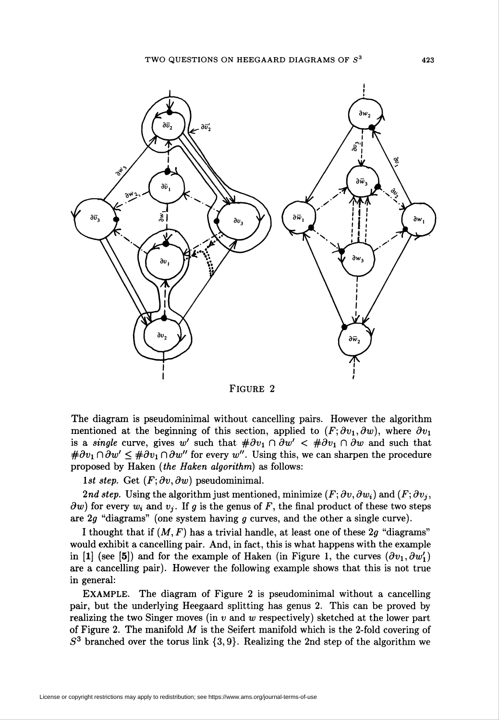

Figure 2

The diagram is pseudominimal without cancelling pairs. However the algorithm mentioned at the beginning of this section, applied to  $(F; \partial v_1, \partial w)$ , where  $\partial v_1$ is a *single* curve, gives w' such that  $\#\partial v_1 \cap \partial w' < \#\partial v_1 \cap \partial w$  and such that  $\#\partial v_1 \cap \partial w' \leq \#\partial v_1 \cap \partial w''$  for every w". Using this, we can sharpen the procedure proposed by Haken (the Haken algorithm) as follows:

1st step. Get  $(F; \partial v, \partial w)$  pseudominimal.

2nd step. Using the algorithm just mentioned, minimize  $(F; \partial v, \partial w_i)$  and  $(F; \partial v_i)$  $\partial w$ ) for every  $w_i$  and  $v_j$ . If g is the genus of F, the final product of these two steps are  $2g$  "diagrams" (one system having  $g$  curves, and the other a single curve).

I thought that if  $(M, F)$  has a trivial handle, at least one of these 2g "diagrams" would exhibit a cancelling pair. And, in fact, this is what happens with the example in [1] (see [5]) and for the example of Haken (in Figure 1, the curves  $(\partial v_1, \partial w_1')$ are a cancelling pair). However the following example shows that this is not true in general:

EXAMPLE. The diagram of Figure 2 is pseudominimal without a cancelling pair, but the underlying Heegaard splitting has genus 2. This can be proved by realizing the two Singer moves (in  $v$  and  $w$  respectively) sketched at the lower part of Figure 2. The manifold  $M$  is the Seifert manifold which is the 2-fold covering of  $S<sup>3</sup>$  branched over the torus link  $\{3,9\}$ . Realizing the 2nd step of the algorithm we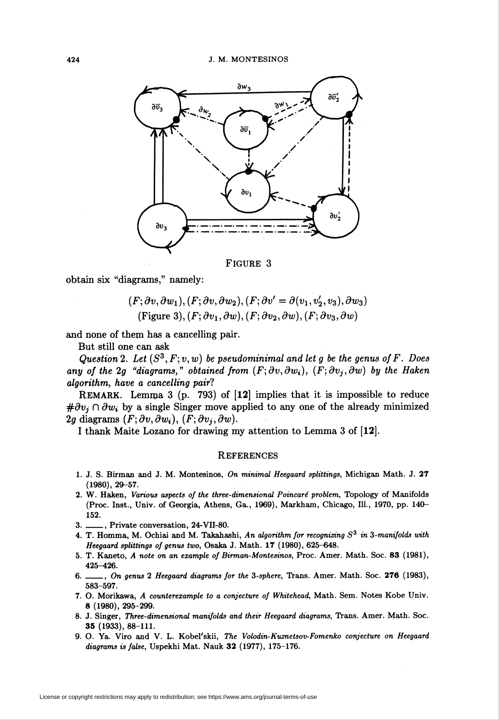

FIGURE 3

obtain six "diagrams," namely:

 $(F; \partial v, \partial w_1), (F; \partial v, \partial w_2), (F; \partial v' = \partial (v_1, v'_2, v_3), \partial w_3)$ (Figure 3),  $(F; \partial v_1, \partial w)$ ,  $(F; \partial v_2, \partial w)$ ,  $(F; \partial v_3, \partial w)$ 

and none of them has a cancelling pair.

But still one can ask

Question 2. Let  $(S^3, F; v, w)$  be pseudominimal and let g be the genus of F. Does any of the 2q "diagrams," obtained from  $(F; \partial v, \partial w_i)$ ,  $(F; \partial v_i, \partial w_i)$  by the Haken algorithm, have a cancelling pair?

REMARK. Lemma 3 (p. 793) of [12] implies that it is impossible to reduce  $\#\partial v_i \cap \partial w_i$  by a single Singer move applied to any one of the already minimized 2g diagrams  $(F; \partial v, \partial w_i)$ ,  $(F; \partial v_i, \partial w)$ .

I thank Maite Lozano for drawing my attention to Lemma 3 of [12].

## **REFERENCES**

- 1. J. S. Birman and J. M. Montesinos, On minimal Heegaard splittings, Michigan Math. J. 27 (1980), 29-57.
- 2. W. Haken, Various aspects of the three-dimensional Poincaré problem, Topology of Manifolds (Proc. Inst., Univ. of Georgia, Athens, Ga., 1969), Markham, Chicago, 111., 1970, pp. 140- 152.
- 3. \_, Private conversation, 24-VII-80.
- 4. T. Homma, M. Ochiai and M. Takahashi, An algorithm for recognizing  $S<sup>3</sup>$  in 3-manifolds with Heegaard splittings of genus two, Osaka J. Math. 17 (1980), 625-648.
- 5. T. Kaneto, A note on an example of Birman-Montesinos, Proc. Amer. Math. Soc. 83 (1981), 425-426.
- 6. \_\_\_, On genus 2 Heegaard diagrams for the 3-sphere, Trans. Amer. Math. Soc. 276 (1983), 583-597.
- 7. O. Morikawa, A counterexample to a conjecture of Whitehead, Math. Sem. Notes Kobe Univ. 8 (1980), 295-299.
- 8. J. Singer, Three-dimensional manifolds and their Heegaard diagrams, Trans. Amer. Math. Soc. 35 (1933), 88-111.
- 9. O. Ya. Viro and V. L. Kobel'skii, The Volodin-Kuznetsov-Fomenko conjecture on Heegaard diagrams is false, Uspekhi Mat. Nauk 32 (1977), 175-176.